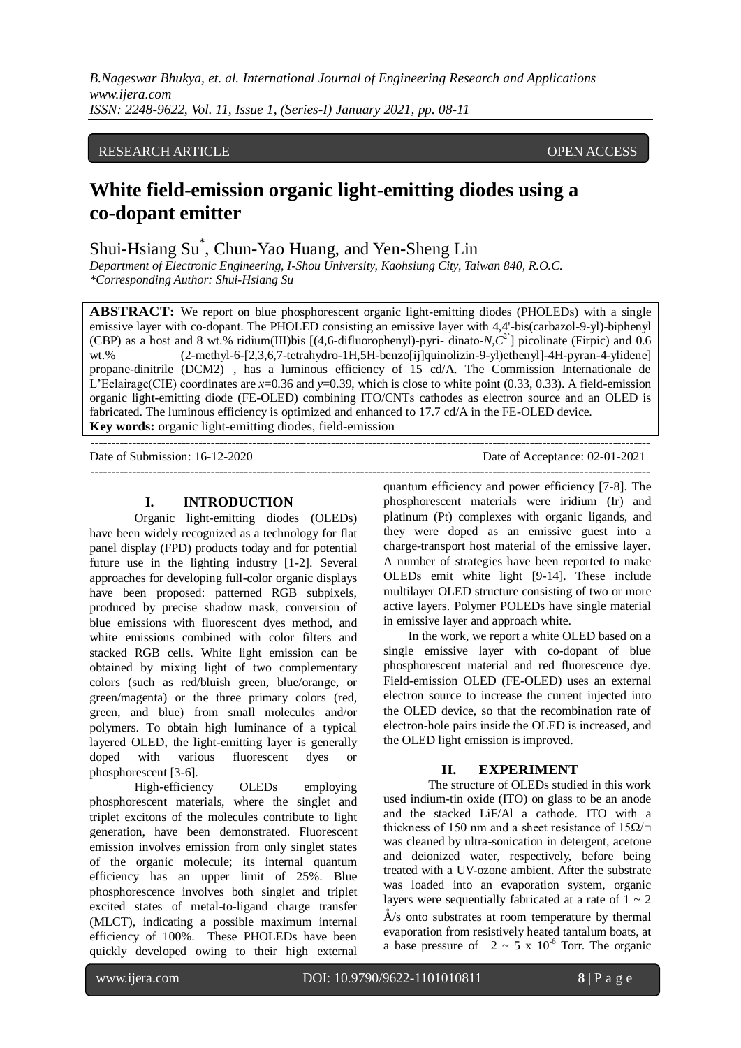*B.Nageswar Bhukya, et. al. International Journal of Engineering Research and Applications www.ijera.com ISSN: 2248-9622, Vol. 11, Issue 1, (Series-I) January 2021, pp. 08-11*

## RESEARCH ARTICLE OPEN ACCESS

# **White field-emission organic light-emitting diodes using a co-dopant emitter**

Shui-Hsiang Su\* , Chun-Yao Huang, and Yen-Sheng Lin

*Department of Electronic Engineering, I-Shou University, Kaohsiung City, Taiwan 840, R.O.C. \*Corresponding Author: Shui-Hsiang Su*

**ABSTRACT:** We report on blue phosphorescent organic light-emitting diodes (PHOLEDs) with a single emissive layer with co-dopant. The PHOLED consisting an emissive layer with 4,4'-bis(carbazol-9-yl)-biphenyl (CBP) as a host and 8 wt.% ridium(III)bis [(4,6-difluorophenyl)-pyri- dinato-*N*,*C* 2'] picolinate (Firpic) and 0.6 wt.% (2-methyl-6-[2,3,6,7-tetrahydro-1H,5H-benzo[ij]quinolizin-9-yl)ethenyl]-4H-pyran-4-ylidene] propane-dinitrile (DCM2) , has a luminous efficiency of 15 cd/A. The Commission Internationale de L'Eclairage(CIE) coordinates are *x*=0.36 and *y*=0.39, which is close to white point (0.33, 0.33). A field-emission organic light-emitting diode (FE-OLED) combining ITO/CNTs cathodes as electron source and an OLED is fabricated. The luminous efficiency is optimized and enhanced to 17.7 cd/A in the FE-OLED device. **Key words:** organic light-emitting diodes, field-emission

--------------------------------------------------------------------------------------------------------------------------------------- Date of Submission: 16-12-2020 Date of Acceptance: 02-01-2021 ---------------------------------------------------------------------------------------------------------------------------------------

## **I. INTRODUCTION**

Organic light-emitting diodes (OLEDs) have been widely recognized as a technology for flat panel display (FPD) products today and for potential future use in the lighting industry [1-2]. Several approaches for developing full-color organic displays have been proposed: patterned RGB subpixels, produced by precise shadow mask, conversion of blue emissions with fluorescent dyes method, and white emissions combined with color filters and stacked RGB cells. White light emission can be obtained by mixing light of two complementary colors (such as red/bluish green, blue/orange, or green/magenta) or the three primary colors (red, green, and blue) from small molecules and/or polymers. To obtain high luminance of a typical layered OLED, the light-emitting layer is generally doped with various fluorescent dyes or phosphorescent [3-6].

High-efficiency OLEDs employing phosphorescent materials, where the singlet and triplet excitons of the molecules contribute to light generation, have been demonstrated. Fluorescent emission involves emission from only singlet states of the organic molecule; its internal quantum efficiency has an upper limit of 25%. Blue phosphorescence involves both singlet and triplet excited states of metal-to-ligand charge transfer (MLCT), indicating a possible maximum internal efficiency of 100%. These PHOLEDs have been quickly developed owing to their high external

quantum efficiency and power efficiency [7-8]. The phosphorescent materials were iridium (Ir) and platinum (Pt) complexes with organic ligands, and they were doped as an emissive guest into a charge-transport host material of the emissive layer. A number of strategies have been reported to make OLEDs emit white light [9-14]. These include multilayer OLED structure consisting of two or more active layers. Polymer POLEDs have single material in emissive layer and approach white.

In the work, we report a white OLED based on a single emissive layer with co-dopant of blue phosphorescent material and red fluorescence dye. Field-emission OLED (FE-OLED) uses an external electron source to increase the current injected into the OLED device, so that the recombination rate of electron-hole pairs inside the OLED is increased, and the OLED light emission is improved.

#### **II. EXPERIMENT**

The structure of OLEDs studied in this work used indium-tin oxide (ITO) on glass to be an anode and the stacked LiF/Al a cathode. ITO with a thickness of 150 nm and a sheet resistance of  $15\Omega/\Box$ was cleaned by ultra-sonication in detergent, acetone and deionized water, respectively, before being treated with a UV-ozone ambient. After the substrate was loaded into an evaporation system, organic layers were sequentially fabricated at a rate of  $1 \sim 2$  $A/s$  onto substrates at room temperature by thermal evaporation from resistively heated tantalum boats, at a base pressure of  $2 \sim 5 \times 10^{-6}$  Torr. The organic

l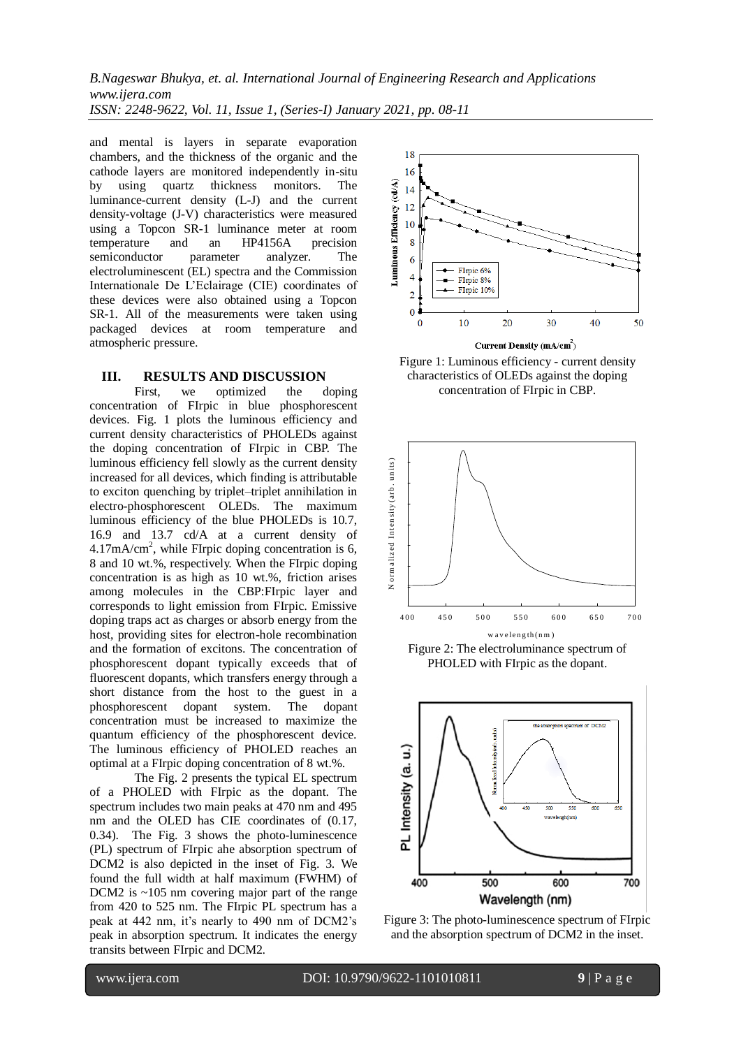*B.Nageswar Bhukya, et. al. International Journal of Engineering Research and Applications www.ijera.com ISSN: 2248-9622, Vol. 11, Issue 1, (Series-I) January 2021, pp. 08-11*

and mental is layers in separate evaporation chambers, and the thickness of the organic and the cathode layers are monitored independently in-situ by using quartz thickness monitors. The luminance-current density (L-J) and the current density-voltage (J-V) characteristics were measured using a Topcon SR-1 luminance meter at room temperature and an HP4156A precision semiconductor parameter analyzer. The electroluminescent (EL) spectra and the Commission Internationale De L'Eclairage (CIE) coordinates of these devices were also obtained using a Topcon SR-1. All of the measurements were taken using packaged devices at room temperature and atmospheric pressure.

### **III. RESULTS AND DISCUSSION**

First, we optimized the doping concentration of FIrpic in blue phosphorescent devices. Fig. 1 plots the luminous efficiency and current density characteristics of PHOLEDs against the doping concentration of FIrpic in CBP. The luminous efficiency fell slowly as the current density increased for all devices, which finding is attributable to exciton quenching by triplet–triplet annihilation in electro-phosphorescent OLEDs. The maximum luminous efficiency of the blue PHOLEDs is 10.7, 16.9 and 13.7 cd/A at a current density of  $4.17 \text{mA/cm}^2$ , while FIrpic doping concentration is 6, 8 and 10 wt.%, respectively. When the FIrpic doping concentration is as high as 10 wt.%, friction arises among molecules in the CBP:FIrpic layer and corresponds to light emission from FIrpic. Emissive doping traps act as charges or absorb energy from the host, providing sites for electron-hole recombination and the formation of excitons. The concentration of phosphorescent dopant typically exceeds that of fluorescent dopants, which transfers energy through a short distance from the host to the guest in a phosphorescent dopant system. The dopant concentration must be increased to maximize the quantum efficiency of the phosphorescent device. The luminous efficiency of PHOLED reaches an optimal at a FIrpic doping concentration of 8 wt.%.

The Fig. 2 presents the typical EL spectrum of a PHOLED with FIrpic as the dopant. The spectrum includes two main peaks at 470 nm and 495 nm and the OLED has CIE coordinates of (0.17, 0.34). The Fig. 3 shows the photo-luminescence (PL) spectrum of FIrpic ahe absorption spectrum of DCM2 is also depicted in the inset of Fig. 3. We found the full width at half maximum (FWHM) of DCM2 is ~105 nm covering major part of the range from 420 to 525 nm. The FIrpic PL spectrum has a peak at 442 nm, it's nearly to 490 nm of DCM2's peak in absorption spectrum. It indicates the energy transits between FIrpic and DCM2.



Figure 1: Luminous efficiency - current density characteristics of OLEDs against the doping concentration of FIrpic in CBP.



PHOLED with FIrpic as the dopant.



Figure 3: The photo-luminescence spectrum of FIrpic and the absorption spectrum of DCM2 in the inset.

l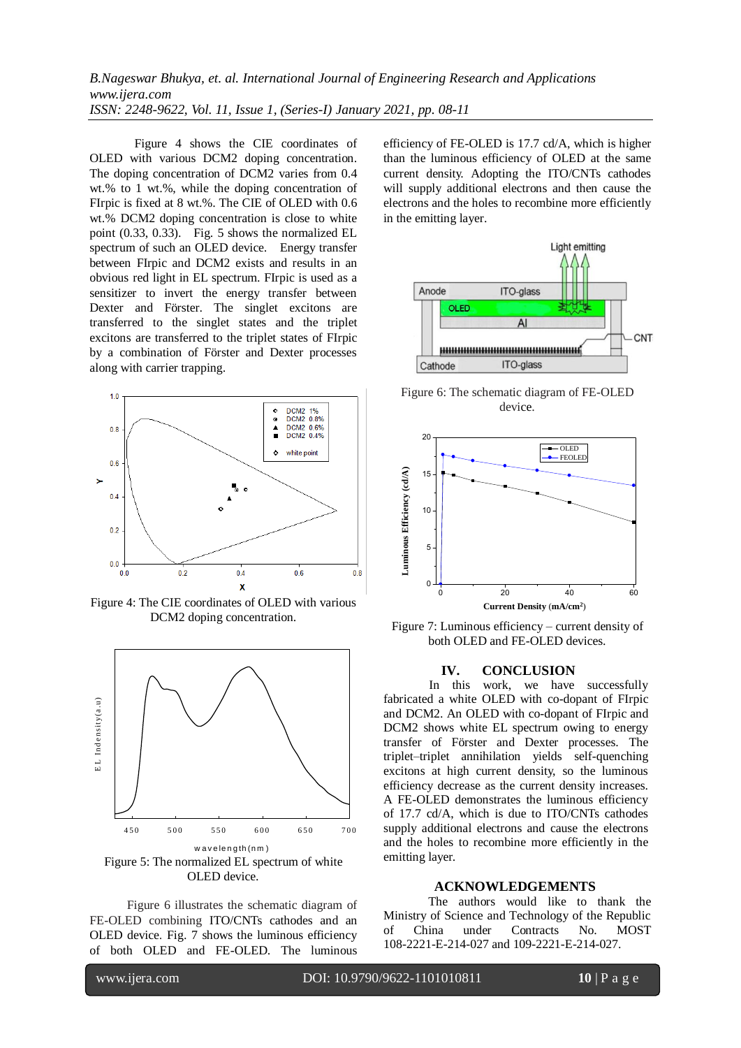# *B.Nageswar Bhukya, et. al. International Journal of Engineering Research and Applications www.ijera.com ISSN: 2248-9622, Vol. 11, Issue 1, (Series-I) January 2021, pp. 08-11*

Figure 4 shows the CIE coordinates of OLED with various DCM2 doping concentration. The doping concentration of DCM2 varies from 0.4 wt.% to 1 wt.%, while the doping concentration of FIrpic is fixed at 8 wt.%. The CIE of OLED with 0.6 wt.% DCM2 doping concentration is close to white point (0.33, 0.33). Fig. 5 shows the normalized EL spectrum of such an OLED device. Energy transfer between FIrpic and DCM2 exists and results in an obvious red light in EL spectrum. FIrpic is used as a sensitizer to invert the energy transfer between Dexter and Förster. The singlet excitons are transferred to the singlet states and the triplet excitons are transferred to the triplet states of FIrpic by a combination of Förster and Dexter processes along with carrier trapping.



Figure 4: The CIE coordinates of OLED with various DCM2 doping concentration.



Figure 6 illustrates the schematic diagram of FE-OLED combining ITO/CNTs cathodes and an OLED device. Fig. 7 shows the luminous efficiency of both OLED and FE-OLED. The luminous efficiency of FE-OLED is 17.7 cd/A, which is higher than the luminous efficiency of OLED at the same current density. Adopting the ITO/CNTs cathodes will supply additional electrons and then cause the electrons and the holes to recombine more efficiently in the emitting layer.



Figure 6: The schematic diagram of FE-OLED device.



Figure 7: Luminous efficiency – current density of both OLED and FE-OLED devices.

#### **IV. CONCLUSION**

In this work, we have successfully fabricated a white OLED with co-dopant of FIrpic and DCM2. An OLED with co-dopant of FIrpic and DCM2 shows white EL spectrum owing to energy transfer of Förster and Dexter processes. The triplet–triplet annihilation yields self-quenching excitons at high current density, so the luminous efficiency decrease as the current density increases. A FE-OLED demonstrates the luminous efficiency of 17.7 cd/A, which is due to ITO/CNTs cathodes supply additional electrons and cause the electrons and the holes to recombine more efficiently in the emitting layer.

#### **ACKNOWLEDGEMENTS**

The authors would like to thank the Ministry of Science and Technology of the Republic of China under Contracts No. MOST 108-2221-E-214-027 and 109-2221-E-214-027.

l